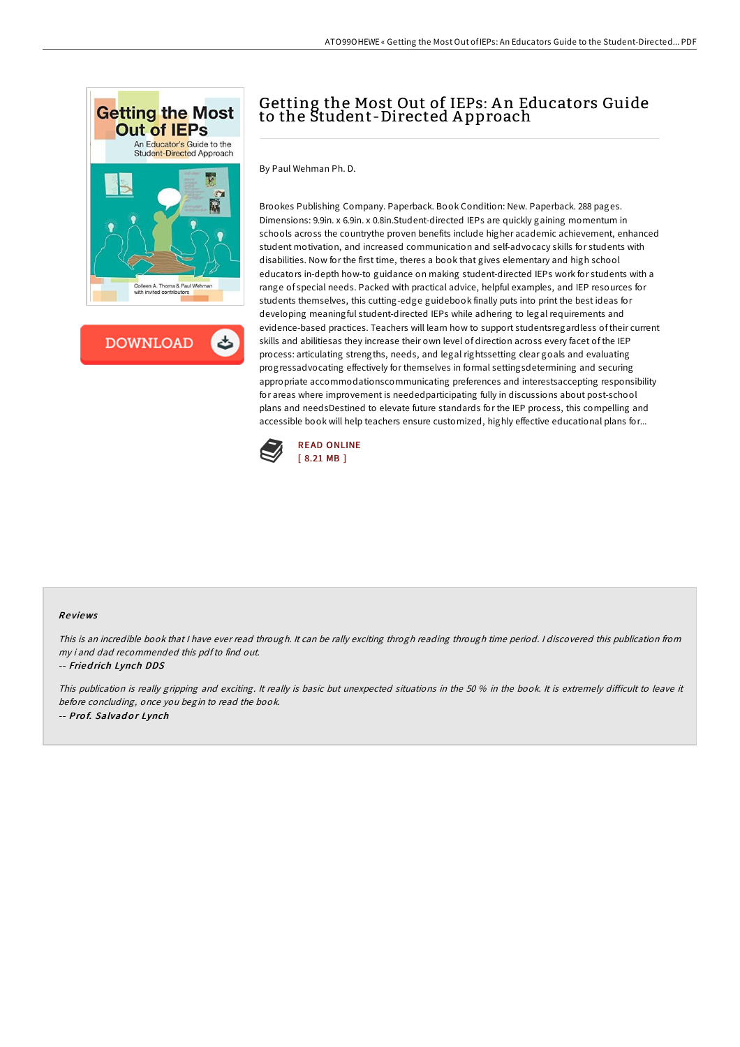

**DOWNLOAD** 

## Getting the Most Out of IEPs: A n Educators Guide to the Student-Directed A pproach

By Paul Wehman Ph. D.

Brookes Publishing Company. Paperback. Book Condition: New. Paperback. 288 pages. Dimensions: 9.9in. x 6.9in. x 0.8in.Student-directed IEPs are quickly gaining momentum in schools across the countrythe proven benefits include higher academic achievement, enhanced student motivation, and increased communication and self-advocacy skills for students with disabilities. Now for the first time, theres a book that gives elementary and high school educators in-depth how-to guidance on making student-directed IEPs work for students with a range of special needs. Packed with practical advice, helpful examples, and IEP resources for students themselves, this cutting-edge guidebook finally puts into print the best ideas for developing meaningful student-directed IEPs while adhering to legal requirements and evidence-based practices. Teachers will learn how to support studentsregardless of their current skills and abilitiesas they increase their own level of direction across every facet of the IEP process: articulating strengths, needs, and legal rightssetting clear goals and evaluating progressadvocating effectively for themselves in formal settingsdetermining and securing appropriate accommodationscommunicating preferences and interestsaccepting responsibility for areas where improvement is neededparticipating fully in discussions about post-school plans and needsDestined to elevate future standards for the IEP process, this compelling and accessible book will help teachers ensure customized, highly effective educational plans for...



## Re views

This is an incredible book that I have ever read through. It can be rally exciting throgh reading through time period. I discovered this publication from my i and dad recommended this pdfto find out.

## -- Fried rich Lynch DDS

This publication is really gripping and exciting. It really is basic but unexpected situations in the 50 % in the book. It is extremely difficult to leave it before concluding, once you begin to read the book. -- Prof. Salvador Lynch